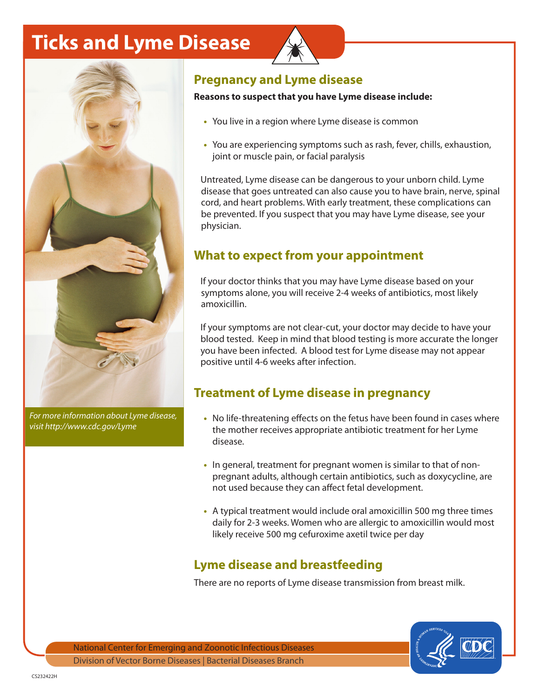# **Ticks and Lyme Disease**



*For more information about Lyme disease, visit http://www.cdc.gov/Lyme*

#### **Pregnancy and Lyme disease**

#### **Reasons to suspect that you have Lyme disease include:**

- **•** You live in a region where Lyme disease is common
- **•** You are experiencing symptoms such as rash, fever, chills, exhaustion, joint or muscle pain, or facial paralysis

Untreated, Lyme disease can be dangerous to your unborn child. Lyme disease that goes untreated can also cause you to have brain, nerve, spinal cord, and heart problems. With early treatment, these complications can be prevented. If you suspect that you may have Lyme disease, see your physician.

### **What to expect from your appointment**

If your doctor thinks that you may have Lyme disease based on your symptoms alone, you will receive 2-4 weeks of antibiotics, most likely amoxicillin.

If your symptoms are not clear-cut, your doctor may decide to have your blood tested. Keep in mind that blood testing is more accurate the longer you have been infected. A blood test for Lyme disease may not appear positive until 4-6 weeks after infection.

#### **Treatment of Lyme disease in pregnancy**

- **•** No life-threatening effects on the fetus have been found in cases where the mother receives appropriate antibiotic treatment for her Lyme disease.
- **•** In general, treatment for pregnant women is similar to that of nonpregnant adults, although certain antibiotics, such as doxycycline, are not used because they can affect fetal development.
- **•** A typical treatment would include oral amoxicillin 500 mg three times daily for 2-3 weeks. Women who are allergic to amoxicillin would most likely receive 500 mg cefuroxime axetil twice per day

# **Lyme disease and breastfeeding**

There are no reports of Lyme disease transmission from breast milk.



National Center for Emerging and Zoonotic Infectious Diseases Division of Vector Borne Diseases | Bacterial Diseases Branch